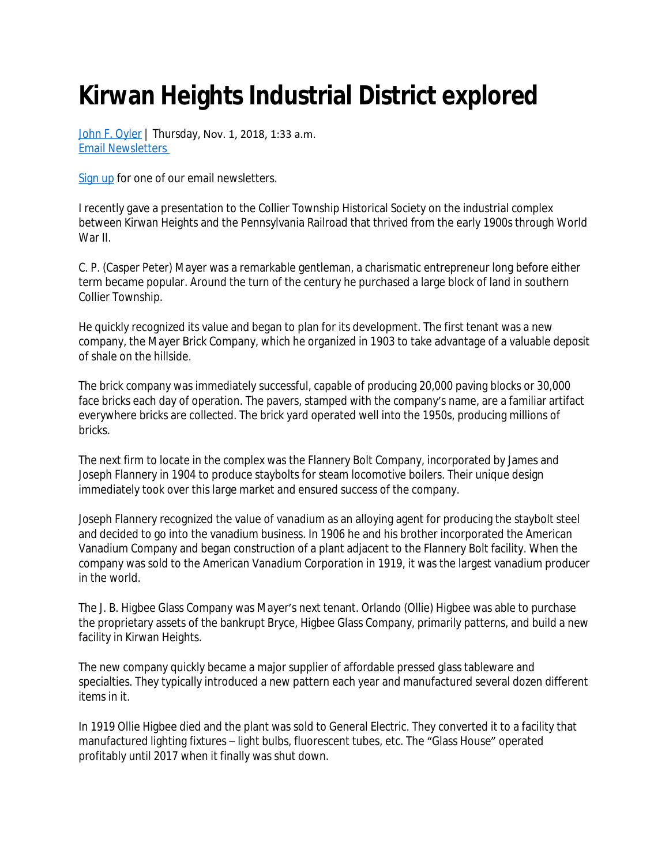## **Kirwan Heights Industrial District explored**

[John F. Oyler](mailto:tribcity@tribweb.com?subject=RE:%20Kirwan%20Heights%20Industrial%20District%20explored%20story%20on%20TribLIVE.com) | Thursday, Nov. 1, 2018, 1:33 a.m. [Email Newsletters](http://signup.triblive.com/) 

[Sign up](http://signup.triblive.com/) for one of our email newsletters.

I recently gave a presentation to the Collier Township Historical Society on the industrial complex between Kirwan Heights and the Pennsylvania Railroad that thrived from the early 1900s through World War II.

C. P. (Casper Peter) Mayer was a remarkable gentleman, a charismatic entrepreneur long before either term became popular. Around the turn of the century he purchased a large block of land in southern Collier Township.

He quickly recognized its value and began to plan for its development. The first tenant was a new company, the Mayer Brick Company, which he organized in 1903 to take advantage of a valuable deposit of shale on the hillside.

The brick company was immediately successful, capable of producing 20,000 paving blocks or 30,000 face bricks each day of operation. The pavers, stamped with the company's name, are a familiar artifact everywhere bricks are collected. The brick yard operated well into the 1950s, producing millions of bricks.

The next firm to locate in the complex was the Flannery Bolt Company, incorporated by James and Joseph Flannery in 1904 to produce staybolts for steam locomotive boilers. Their unique design immediately took over this large market and ensured success of the company.

Joseph Flannery recognized the value of vanadium as an alloying agent for producing the staybolt steel and decided to go into the vanadium business. In 1906 he and his brother incorporated the American Vanadium Company and began construction of a plant adjacent to the Flannery Bolt facility. When the company was sold to the American Vanadium Corporation in 1919, it was the largest vanadium producer in the world.

The J. B. Higbee Glass Company was Mayer's next tenant. Orlando (Ollie) Higbee was able to purchase the proprietary assets of the bankrupt Bryce, Higbee Glass Company, primarily patterns, and build a new facility in Kirwan Heights.

The new company quickly became a major supplier of affordable pressed glass tableware and specialties. They typically introduced a new pattern each year and manufactured several dozen different items in it.

In 1919 Ollie Higbee died and the plant was sold to General Electric. They converted it to a facility that manufactured lighting fixtures – light bulbs, fluorescent tubes, etc. The "Glass House" operated profitably until 2017 when it finally was shut down.